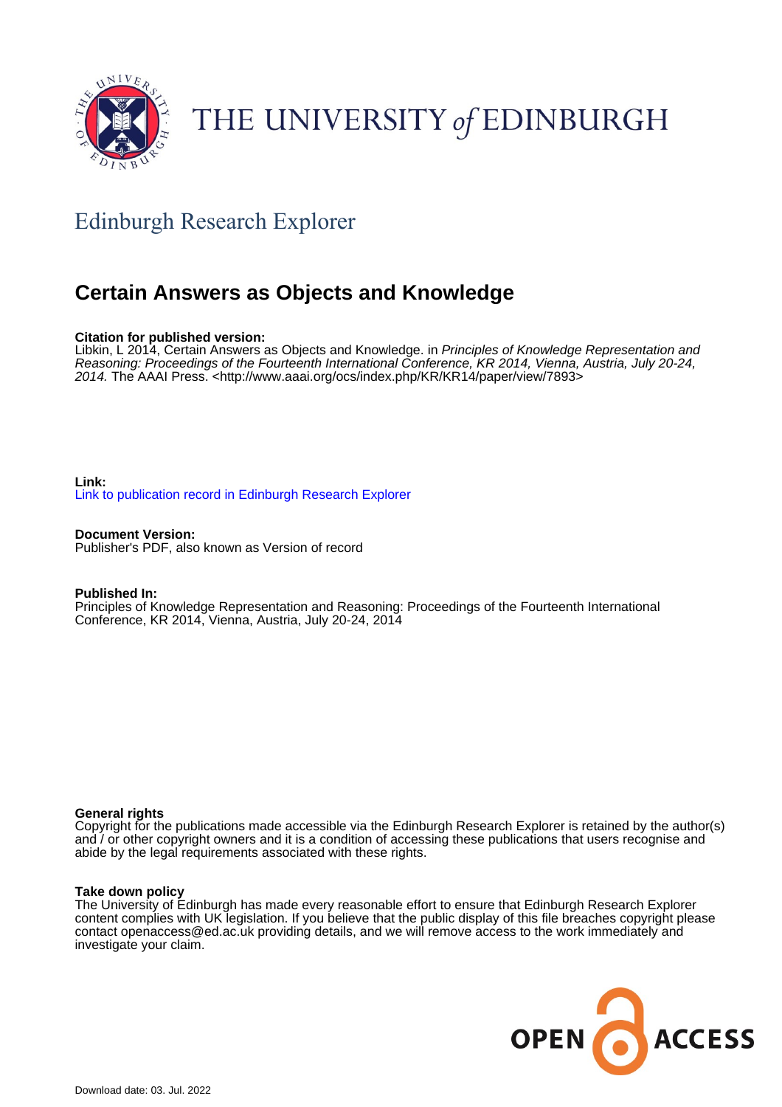

# THE UNIVERSITY of EDINBURGH

# Edinburgh Research Explorer

# **Certain Answers as Objects and Knowledge**

# **Citation for published version:**

Libkin, L 2014, Certain Answers as Objects and Knowledge. in Principles of Knowledge Representation and Reasoning: Proceedings of the Fourteenth International Conference, KR 2014, Vienna, Austria, July 20-24, 2014. The AAAI Press. [<http://www.aaai.org/ocs/index.php/KR/KR14/paper/view/7893](http://www.aaai.org/ocs/index.php/KR/KR14/paper/view/7893)>

# **Link:** [Link to publication record in Edinburgh Research Explorer](https://www.research.ed.ac.uk/en/publications/ca1f17d3-fdc2-40cc-b38a-52ec408a4f1e)

**Document Version:** Publisher's PDF, also known as Version of record

## **Published In:**

Principles of Knowledge Representation and Reasoning: Proceedings of the Fourteenth International Conference, KR 2014, Vienna, Austria, July 20-24, 2014

## **General rights**

Copyright for the publications made accessible via the Edinburgh Research Explorer is retained by the author(s) and / or other copyright owners and it is a condition of accessing these publications that users recognise and abide by the legal requirements associated with these rights.

## **Take down policy**

The University of Edinburgh has made every reasonable effort to ensure that Edinburgh Research Explorer content complies with UK legislation. If you believe that the public display of this file breaches copyright please contact openaccess@ed.ac.uk providing details, and we will remove access to the work immediately and investigate your claim.

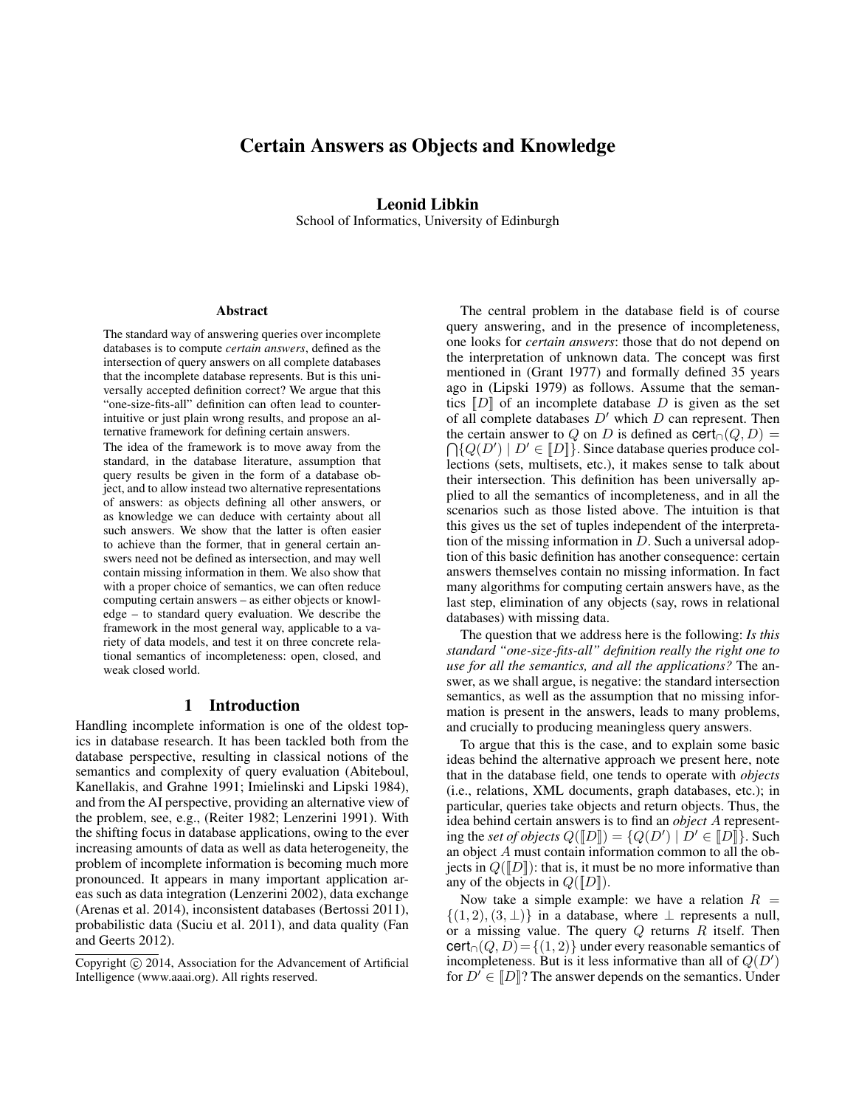# Certain Answers as Objects and Knowledge

# Leonid Libkin

School of Informatics, University of Edinburgh

#### Abstract

The standard way of answering queries over incomplete databases is to compute *certain answers*, defined as the intersection of query answers on all complete databases that the incomplete database represents. But is this universally accepted definition correct? We argue that this "one-size-fits-all" definition can often lead to counterintuitive or just plain wrong results, and propose an alternative framework for defining certain answers.

The idea of the framework is to move away from the standard, in the database literature, assumption that query results be given in the form of a database object, and to allow instead two alternative representations of answers: as objects defining all other answers, or as knowledge we can deduce with certainty about all such answers. We show that the latter is often easier to achieve than the former, that in general certain answers need not be defined as intersection, and may well contain missing information in them. We also show that with a proper choice of semantics, we can often reduce computing certain answers – as either objects or knowledge – to standard query evaluation. We describe the framework in the most general way, applicable to a variety of data models, and test it on three concrete relational semantics of incompleteness: open, closed, and weak closed world.

#### 1 Introduction

Handling incomplete information is one of the oldest topics in database research. It has been tackled both from the database perspective, resulting in classical notions of the semantics and complexity of query evaluation (Abiteboul, Kanellakis, and Grahne 1991; Imielinski and Lipski 1984), and from the AI perspective, providing an alternative view of the problem, see, e.g., (Reiter 1982; Lenzerini 1991). With the shifting focus in database applications, owing to the ever increasing amounts of data as well as data heterogeneity, the problem of incomplete information is becoming much more pronounced. It appears in many important application areas such as data integration (Lenzerini 2002), data exchange (Arenas et al. 2014), inconsistent databases (Bertossi 2011), probabilistic data (Suciu et al. 2011), and data quality (Fan and Geerts 2012).

The central problem in the database field is of course query answering, and in the presence of incompleteness, one looks for *certain answers*: those that do not depend on the interpretation of unknown data. The concept was first mentioned in (Grant 1977) and formally defined 35 years ago in (Lipski 1979) as follows. Assume that the semantics  $\llbracket D \rrbracket$  of an incomplete database D is given as the set of all complete databases  $D'$  which D can represent. Then  $\bigcap \{ Q(D') \mid D' \in \llbracket D \rrbracket \}.$  Since database queries produce colthe certain answer to Q on D is defined as  $\text{cert}_\cap(Q, D) =$ lections (sets, multisets, etc.), it makes sense to talk about their intersection. This definition has been universally applied to all the semantics of incompleteness, and in all the scenarios such as those listed above. The intuition is that this gives us the set of tuples independent of the interpretation of the missing information in D. Such a universal adoption of this basic definition has another consequence: certain answers themselves contain no missing information. In fact many algorithms for computing certain answers have, as the last step, elimination of any objects (say, rows in relational databases) with missing data.

The question that we address here is the following: *Is this standard "one-size-fits-all" definition really the right one to use for all the semantics, and all the applications?* The answer, as we shall argue, is negative: the standard intersection semantics, as well as the assumption that no missing information is present in the answers, leads to many problems, and crucially to producing meaningless query answers.

To argue that this is the case, and to explain some basic ideas behind the alternative approach we present here, note that in the database field, one tends to operate with *objects* (i.e., relations, XML documents, graph databases, etc.); in particular, queries take objects and return objects. Thus, the idea behind certain answers is to find an *object* A representing the *set of objects*  $Q([D]) = \{Q(D') \mid D' \in [D]\}.$  Such an object A must contain information common to all the objects in  $Q(\llbracket D \rrbracket)$ : that is, it must be no more informative than any of the objects in  $Q([D])$ .

Now take a simple example: we have a relation  $R =$  $\{(1, 2), (3, \perp)\}\$ in a database, where  $\perp$  represents a null, or a missing value. The query  $Q$  returns  $R$  itself. Then  $\text{cert}_{\cap}(Q, D) = \{(1, 2)\}\$ under every reasonable semantics of incompleteness. But is it less informative than all of  $Q(D')$ for  $D' \in [D]$ ? The answer depends on the semantics. Under

Copyright  $\odot$  2014, Association for the Advancement of Artificial Intelligence (www.aaai.org). All rights reserved.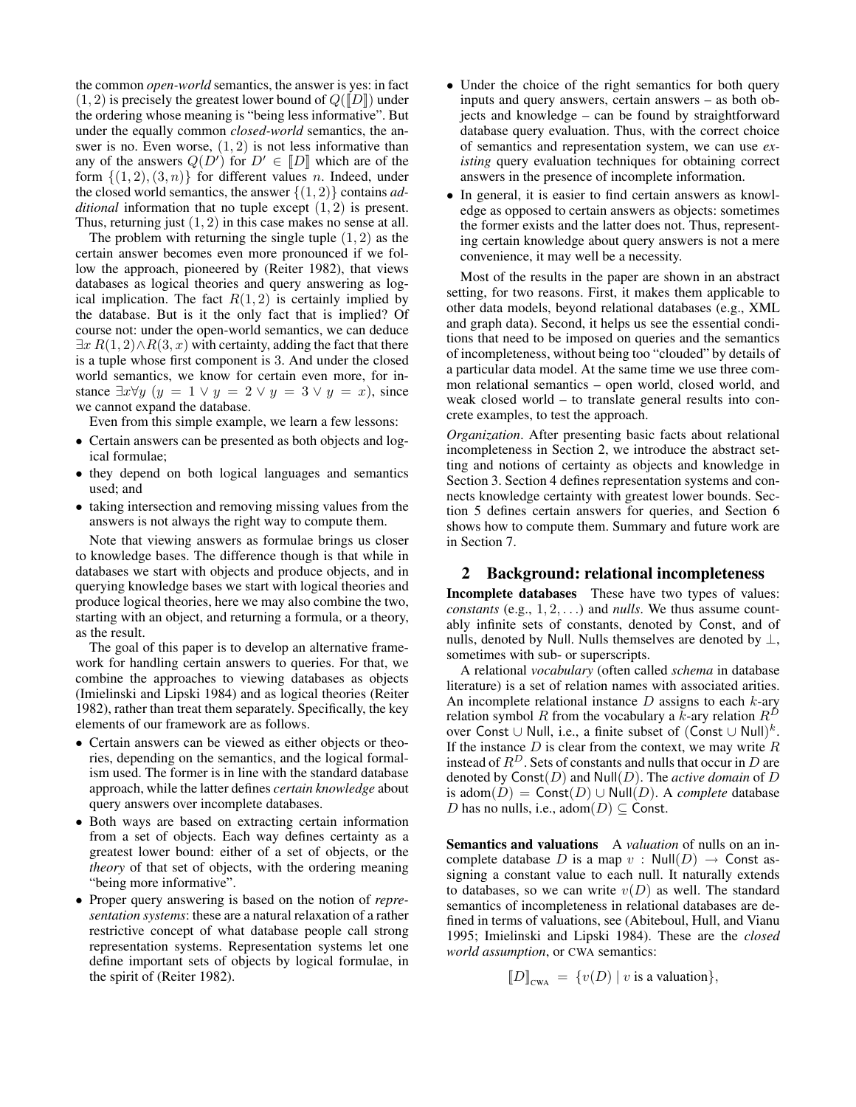the common *open-world* semantics, the answer is yes: in fact  $(1, 2)$  is precisely the greatest lower bound of  $Q(\llbracket D \rrbracket)$  under the ordering whose meaning is "being less informative". But under the equally common *closed-world* semantics, the answer is no. Even worse,  $(1, 2)$  is not less informative than any of the answers  $Q(D')$  for  $D' \in [D]$  which are of the form  $\{(1, 2), (3, n)\}\$ for different values n. Indeed, under the closed world semantics, the answer {(1, 2)} contains *additional* information that no tuple except (1, 2) is present. Thus, returning just  $(1, 2)$  in this case makes no sense at all.

The problem with returning the single tuple  $(1, 2)$  as the certain answer becomes even more pronounced if we follow the approach, pioneered by (Reiter 1982), that views databases as logical theories and query answering as logical implication. The fact  $R(1, 2)$  is certainly implied by the database. But is it the only fact that is implied? Of course not: under the open-world semantics, we can deduce  $\exists x R(1, 2) \land R(3, x)$  with certainty, adding the fact that there is a tuple whose first component is 3. And under the closed world semantics, we know for certain even more, for instance  $\exists x \forall y \ (y = 1 \lor y = 2 \lor y = 3 \lor y = x)$ , since we cannot expand the database.

Even from this simple example, we learn a few lessons:

- Certain answers can be presented as both objects and logical formulae;
- they depend on both logical languages and semantics used; and
- taking intersection and removing missing values from the answers is not always the right way to compute them.

Note that viewing answers as formulae brings us closer to knowledge bases. The difference though is that while in databases we start with objects and produce objects, and in querying knowledge bases we start with logical theories and produce logical theories, here we may also combine the two, starting with an object, and returning a formula, or a theory, as the result.

The goal of this paper is to develop an alternative framework for handling certain answers to queries. For that, we combine the approaches to viewing databases as objects (Imielinski and Lipski 1984) and as logical theories (Reiter 1982), rather than treat them separately. Specifically, the key elements of our framework are as follows.

- Certain answers can be viewed as either objects or theories, depending on the semantics, and the logical formalism used. The former is in line with the standard database approach, while the latter defines *certain knowledge* about query answers over incomplete databases.
- Both ways are based on extracting certain information from a set of objects. Each way defines certainty as a greatest lower bound: either of a set of objects, or the *theory* of that set of objects, with the ordering meaning "being more informative".
- Proper query answering is based on the notion of *representation systems*: these are a natural relaxation of a rather restrictive concept of what database people call strong representation systems. Representation systems let one define important sets of objects by logical formulae, in the spirit of (Reiter 1982).
- Under the choice of the right semantics for both query inputs and query answers, certain answers – as both objects and knowledge – can be found by straightforward database query evaluation. Thus, with the correct choice of semantics and representation system, we can use *existing* query evaluation techniques for obtaining correct answers in the presence of incomplete information.
- In general, it is easier to find certain answers as knowledge as opposed to certain answers as objects: sometimes the former exists and the latter does not. Thus, representing certain knowledge about query answers is not a mere convenience, it may well be a necessity.

Most of the results in the paper are shown in an abstract setting, for two reasons. First, it makes them applicable to other data models, beyond relational databases (e.g., XML and graph data). Second, it helps us see the essential conditions that need to be imposed on queries and the semantics of incompleteness, without being too "clouded" by details of a particular data model. At the same time we use three common relational semantics – open world, closed world, and weak closed world – to translate general results into concrete examples, to test the approach.

*Organization*. After presenting basic facts about relational incompleteness in Section 2, we introduce the abstract setting and notions of certainty as objects and knowledge in Section 3. Section 4 defines representation systems and connects knowledge certainty with greatest lower bounds. Section 5 defines certain answers for queries, and Section 6 shows how to compute them. Summary and future work are in Section 7.

#### 2 Background: relational incompleteness

Incomplete databases These have two types of values: *constants* (e.g.,  $1, 2, \ldots$ ) and *nulls*. We thus assume countably infinite sets of constants, denoted by Const, and of nulls, denoted by Null. Nulls themselves are denoted by  $\perp$ , sometimes with sub- or superscripts.

A relational *vocabulary* (often called *schema* in database literature) is a set of relation names with associated arities. An incomplete relational instance  $D$  assigns to each  $k$ -ary relation symbol R from the vocabulary a k-ary relation  $R^D$ over Const ∪ Null, i.e., a finite subset of  $(Const \cup Null)^k$ . If the instance  $D$  is clear from the context, we may write  $R$ instead of  $R^D$ . Sets of constants and nulls that occur in D are denoted by Const(D) and Null(D). The *active domain* of D is adom(D) = Const(D) ∪ Null(D). A *complete* database D has no nulls, i.e.,  $adom(D) \subseteq$  Const.

Semantics and valuations A *valuation* of nulls on an incomplete database D is a map  $v : Null(D) \rightarrow$  Const assigning a constant value to each null. It naturally extends to databases, so we can write  $v(D)$  as well. The standard semantics of incompleteness in relational databases are defined in terms of valuations, see (Abiteboul, Hull, and Vianu 1995; Imielinski and Lipski 1984). These are the *closed world assumption*, or CWA semantics:

$$
\llbracket D \rrbracket_{\text{CWA}} = \{ v(D) \mid v \text{ is a valuation} \},
$$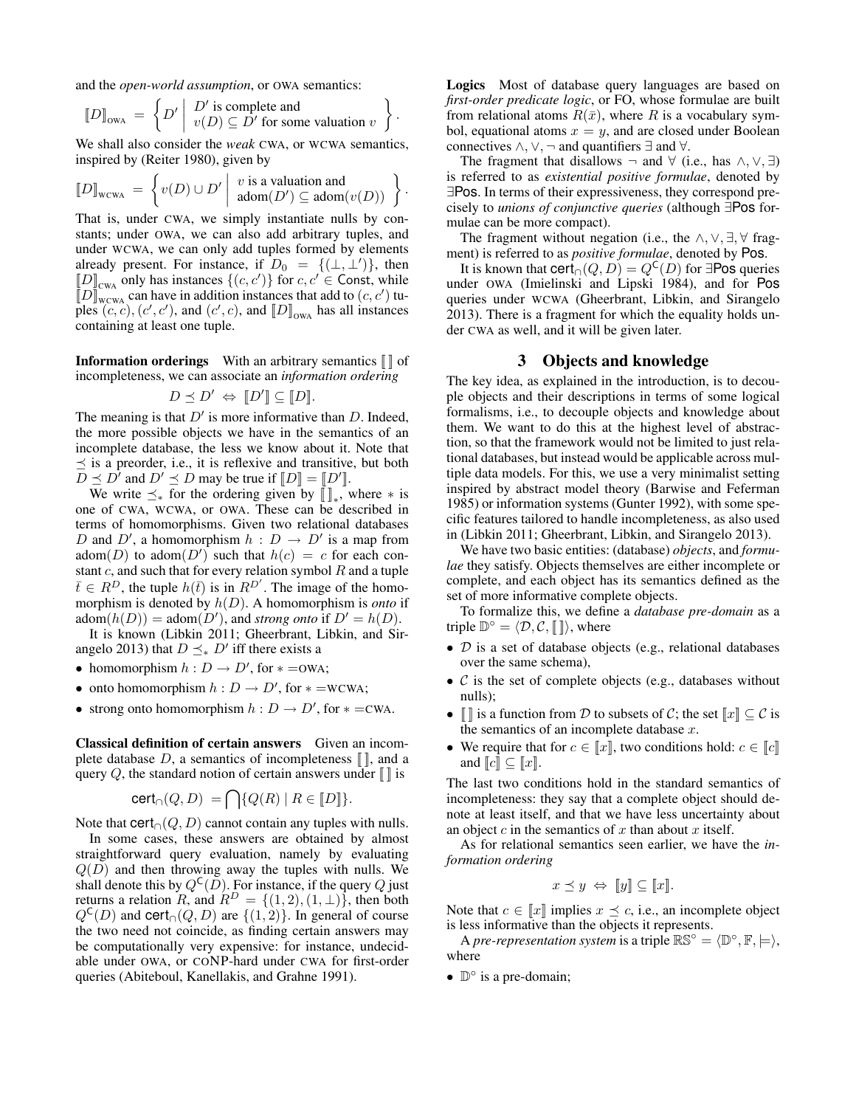and the *open-world assumption*, or OWA semantics:

$$
[\![D]\!]_{\text{OWA}} = \left\{ D' \middle| \begin{array}{c} D' \text{ is complete and} \\ v(D) \subseteq D' \text{ for some valuation } v \end{array} \right\}.
$$

We shall also consider the *weak* CWA, or WCWA semantics, inspired by (Reiter 1980), given by

$$
[\![D]\!]_{\text{wcwa}} = \left\{ v(D) \cup D' \middle| \begin{array}{l} v \text{ is a valuation and} \\ \text{adom}(D') \subseteq \text{adom}(v(D)) \end{array} \right\}
$$

.

That is, under CWA, we simply instantiate nulls by constants; under OWA, we can also add arbitrary tuples, and under WCWA, we can only add tuples formed by elements already present. For instance, if  $D_0 = \{(\perp, \perp')\}$ , then  $\llbracket D \rrbracket_{\text{CWA}}$  only has instances  $\{(c, c')\}$  for  $c, c' \in \text{Const},$  while  $\llbracket D \rrbracket_{\text{WCMA}}^{\text{max}}$  can have in addition instances that add to  $(c, c')$  tuples  $(c, c)$ ,  $(c', c')$ , and  $(c', c)$ , and  $[D]_{\text{owa}}$  has all instances containing at least one tuple.

**Information orderings** With an arbitrary semantics  $\llbracket \ \rrbracket$  of incompleteness, we can associate an *information ordering*

$$
D \preceq D' \Leftrightarrow \|D'\| \subseteq \|D\|.
$$

The meaning is that  $D'$  is more informative than  $D$ . Indeed, the more possible objects we have in the semantics of an incomplete database, the less we know about it. Note that  $\preceq$  is a preorder, i.e., it is reflexive and transitive, but both  $D \preceq D^{\gamma}$  and  $D' \preceq D$  may be true if  $[[D] = [[D']]$ .

We write  $\preceq_*$  for the ordering given by  $[\![]_*,$  where  $*$  is one of CWA, WCWA, or OWA. These can be described in terms of homomorphisms. Given two relational databases D and D', a homomorphism  $h : D \to D'$  is a map from adom $(D)$  to adom $(D')$  such that  $h(c) = c$  for each constant  $c$ , and such that for every relation symbol  $R$  and a tuple  $\bar{t} \in R^D$ , the tuple  $h(\bar{t})$  is in  $R^{D'}$ . The image of the homomorphism is denoted by h(D). A homomorphism is *onto* if adom $(h(D)) =$  adom $(D')$ , and *strong onto* if  $D' = h(D)$ .

It is known (Libkin 2011; Gheerbrant, Libkin, and Sirangelo 2013) that  $D \preceq_{\ast} D'$  iff there exists a

- homomorphism  $h: D \to D'$ , for  $* =$ OWA;
- onto homomorphism  $h: D \to D'$ , for  $* =$ WCWA;
- strong onto homomorphism  $h : D \to D'$ , for  $* = cwa$ .

Classical definition of certain answers Given an incomplete database  $D$ , a semantics of incompleteness  $\llbracket \cdot \rrbracket$ , and a query  $Q$ , the standard notion of certain answers under  $\llbracket \cdot \rrbracket$  is

$$
cert_{\cap}(Q, D) = \bigcap \{ Q(R) \mid R \in [D] \}.
$$

Note that  $\text{cert}_{\cap}(Q, D)$  cannot contain any tuples with nulls.

In some cases, these answers are obtained by almost straightforward query evaluation, namely by evaluating  $Q(D)$  and then throwing away the tuples with nulls. We shall denote this by  $Q^{\mathsf{C}}(D)$ . For instance, if the query Q just returns a relation R, and  $R^D = \{(1, 2), (1, \perp)\}\)$ , then both  $Q^{\mathsf{C}}(D)$  and cert<sub>∩</sub> $(Q, D)$  are  $\{(1, 2)\}\)$ . In general of course the two need not coincide, as finding certain answers may be computationally very expensive: for instance, undecidable under OWA, or CONP-hard under CWA for first-order queries (Abiteboul, Kanellakis, and Grahne 1991).

Logics Most of database query languages are based on *first-order predicate logic*, or FO, whose formulae are built from relational atoms  $R(\bar{x})$ , where R is a vocabulary symbol, equational atoms  $x = y$ , and are closed under Boolean connectives  $\land$ ,  $\lor$ ,  $\neg$  and quantifiers  $\exists$  and  $\forall$ .

The fragment that disallows  $\neg$  and  $\forall$  (i.e., has  $\land, \lor, \exists$ ) is referred to as *existential positive formulae*, denoted by ∃Pos. In terms of their expressiveness, they correspond precisely to *unions of conjunctive queries* (although ∃Pos formulae can be more compact).

The fragment without negation (i.e., the  $\land$ ,  $\lor$ ,  $\exists$ ,  $\forall$  fragment) is referred to as *positive formulae*, denoted by Pos.

It is known that  $\text{cert}_{\cap}(Q, D) = Q^{\mathsf{C}}(D)$  for ∃Pos queries under OWA (Imielinski and Lipski 1984), and for Pos queries under WCWA (Gheerbrant, Libkin, and Sirangelo 2013). There is a fragment for which the equality holds under CWA as well, and it will be given later.

#### 3 Objects and knowledge

The key idea, as explained in the introduction, is to decouple objects and their descriptions in terms of some logical formalisms, i.e., to decouple objects and knowledge about them. We want to do this at the highest level of abstraction, so that the framework would not be limited to just relational databases, but instead would be applicable across multiple data models. For this, we use a very minimalist setting inspired by abstract model theory (Barwise and Feferman 1985) or information systems (Gunter 1992), with some specific features tailored to handle incompleteness, as also used in (Libkin 2011; Gheerbrant, Libkin, and Sirangelo 2013).

We have two basic entities: (database) *objects*, and *formulae* they satisfy. Objects themselves are either incomplete or complete, and each object has its semantics defined as the set of more informative complete objects.

To formalize this, we define a *database pre-domain* as a triple  $\mathbb{D}^{\circ} = \langle \mathcal{D}, \mathcal{C}, \lbrack \lbrack \rbrack \rangle$ , where

- $\bullet$  D is a set of database objects (e.g., relational databases over the same schema),
- $\mathcal C$  is the set of complete objects (e.g., databases without nulls);
- $\llbracket \cdot \rrbracket$  is a function from D to subsets of C; the set  $\llbracket x \rrbracket \subseteq C$  is the semantics of an incomplete database  $x$ .
- We require that for  $c \in [x]$ , two conditions hold:  $c \in [c]$ and  $\llbracket c \rrbracket \subseteq \llbracket x \rrbracket$ .

The last two conditions hold in the standard semantics of incompleteness: they say that a complete object should denote at least itself, and that we have less uncertainty about an object c in the semantics of x than about x itself.

As for relational semantics seen earlier, we have the *information ordering*

$$
x \preceq y \Leftrightarrow [y] \subseteq [x].
$$

Note that  $c \in \llbracket x \rrbracket$  implies  $x \preceq c$ , i.e., an incomplete object is less informative than the objects it represents.

A *pre-representation system* is a triple  $\mathbb{RS}^{\circ} = \langle \mathbb{D}^{\circ}, \mathbb{F}, \models \rangle$ , where

●  $\mathbb{D}^{\circ}$  is a pre-domain;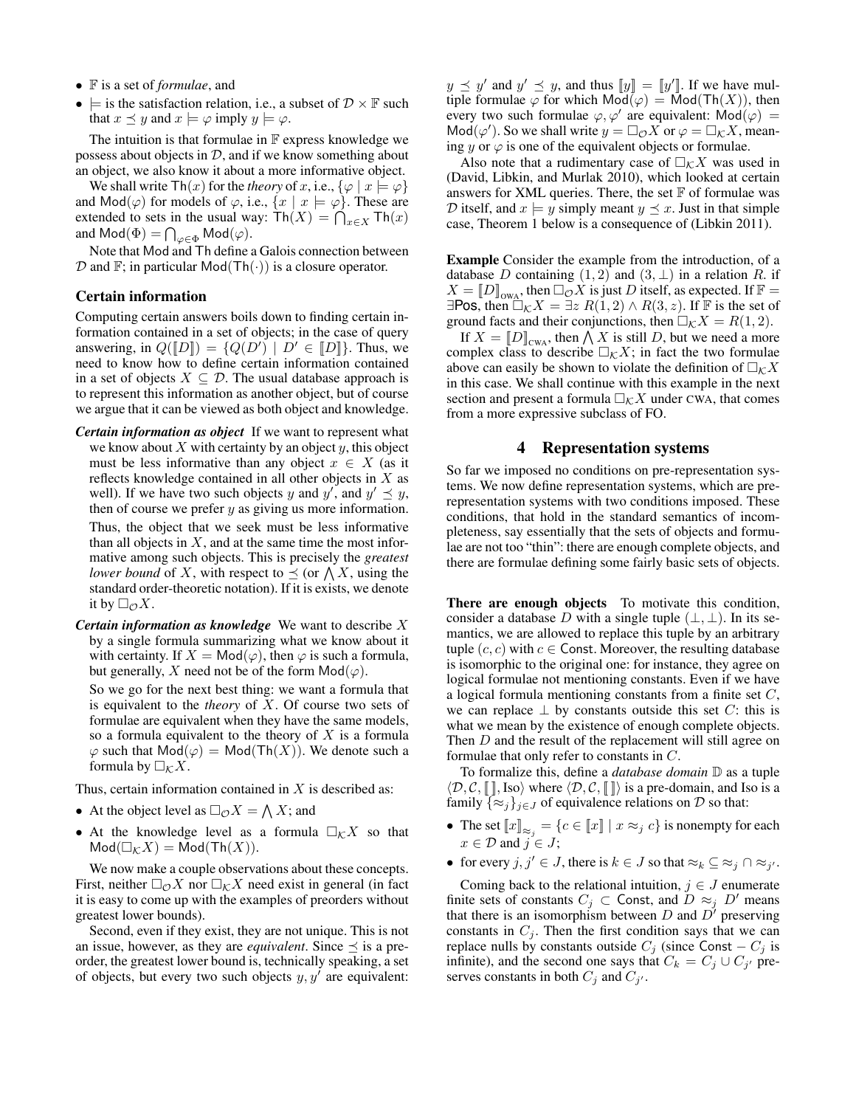- F is a set of *formulae*, and
- $\models$  is the satisfaction relation, i.e., a subset of  $\mathcal{D} \times \mathbb{F}$  such that  $x \preceq y$  and  $x \models \varphi$  imply  $y \models \varphi$ .

The intuition is that formulae in  $\mathbb F$  express knowledge we possess about objects in  $D$ , and if we know something about an object, we also know it about a more informative object.

We shall write  $\text{Th}(x)$  for the *theory* of x, i.e.,  $\{\varphi \mid x \models \varphi\}$ and  $\text{Mod}(\varphi)$  for models of  $\varphi$ , i.e.,  $\{x \mid x \models \varphi\}$ . These are extended to sets in the usual way:  $\text{Th}(X) = \bigcap_{x \in X} \text{Th}(x)$ and  $\mathsf{Mod}(\Phi) = \bigcap_{\varphi \in \Phi} \mathsf{Mod}(\varphi).$ 

Note that Mod and Th define a Galois connection between  $D$  and  $\mathbb{F}$ ; in particular Mod(Th(·)) is a closure operator.

#### Certain information

Computing certain answers boils down to finding certain information contained in a set of objects; in the case of query answering, in  $Q([D]) = \{Q(D') \mid D' \in [D]\}.$  Thus, we need to know how to define certain information contained in a set of objects  $X \subseteq \mathcal{D}$ . The usual database approach is to represent this information as another object, but of course we argue that it can be viewed as both object and knowledge.

- *Certain information as object* If we want to represent what we know about  $X$  with certainty by an object  $y$ , this object must be less informative than any object  $x \in X$  (as it reflects knowledge contained in all other objects in X as well). If we have two such objects y and  $y'$ , and  $y' \preceq y$ , then of course we prefer  $y$  as giving us more information. Thus, the object that we seek must be less informative than all objects in  $X$ , and at the same time the most informative among such objects. This is precisely the *greatest lower bound* of X, with respect to  $\preceq$  (or  $\bigwedge X$ , using the standard order-theoretic notation). If it is exists, we denote it by  $\square_{\mathcal{O}} X$ .
- *Certain information as knowledge* We want to describe X by a single formula summarizing what we know about it with certainty. If  $X = Mod(\varphi)$ , then  $\varphi$  is such a formula, but generally, X need not be of the form  $Mod(\varphi)$ .

So we go for the next best thing: we want a formula that is equivalent to the *theory* of X. Of course two sets of formulae are equivalent when they have the same models, so a formula equivalent to the theory of  $X$  is a formula  $\varphi$  such that  $Mod(\varphi) = Mod(Th(X))$ . We denote such a formula by  $\Box_K X$ .

Thus, certain information contained in  $X$  is described as:

- At the object level as  $\square_{\mathcal{O}} X = \bigwedge X$ ; and
- At the knowledge level as a formula  $\Box_K X$  so that  $Mod(\Box_K X) = Mod(Th(X)).$

We now make a couple observations about these concepts. First, neither  $\Box_{\mathcal{O}} X$  nor  $\Box_{\mathcal{K}} X$  need exist in general (in fact it is easy to come up with the examples of preorders without greatest lower bounds).

Second, even if they exist, they are not unique. This is not an issue, however, as they are *equivalent*. Since  $\preceq$  is a preorder, the greatest lower bound is, technically speaking, a set of objects, but every two such objects  $y, y'$  are equivalent:

 $y \preceq y'$  and  $y' \preceq y$ , and thus  $||y|| = ||y'||$ . If we have multiple formulae  $\varphi$  for which  $Mod(\varphi) = Mod(Th(X))$ , then every two such formulae  $\varphi, \varphi'$  are equivalent:  $\text{Mod}(\varphi) =$  $\mathsf{Mod}(\varphi')$ . So we shall write  $y = \Box_{\mathcal{O}} X$  or  $\varphi = \Box_{\mathcal{K}} X$ , meaning y or  $\varphi$  is one of the equivalent objects or formulae.

Also note that a rudimentary case of  $\Box_K X$  was used in (David, Libkin, and Murlak 2010), which looked at certain answers for XML queries. There, the set  $F$  of formulae was D itself, and  $x \models y$  simply meant  $y \preceq x$ . Just in that simple case, Theorem 1 below is a consequence of (Libkin 2011).

Example Consider the example from the introduction, of a database D containing  $(1, 2)$  and  $(3, \perp)$  in a relation R. if  $X = \llbracket D \rrbracket_{\text{OWA}}$ , then  $\Box_{\mathcal{O}} X$  is just D itself, as expected. If  $\mathbb{F} =$ ∃Pos, then  $\Box_K X = \exists z R(1,2) \land R(3, z)$ . If F is the set of ground facts and their conjunctions, then  $\Box_K X = R(1, 2)$ .

If  $X = [D]_{\text{CWA}}$ , then  $\bigwedge X$  is still D, but we need a more complex class to describe  $\Box_K X$ ; in fact the two formulae above can easily be shown to violate the definition of  $\Box_K X$ in this case. We shall continue with this example in the next section and present a formula  $\Box_{\mathcal{K}}X$  under CWA, that comes from a more expressive subclass of FO.

#### 4 Representation systems

So far we imposed no conditions on pre-representation systems. We now define representation systems, which are prerepresentation systems with two conditions imposed. These conditions, that hold in the standard semantics of incompleteness, say essentially that the sets of objects and formulae are not too "thin": there are enough complete objects, and there are formulae defining some fairly basic sets of objects.

There are enough objects To motivate this condition, consider a database D with a single tuple  $(\perp, \perp)$ . In its semantics, we are allowed to replace this tuple by an arbitrary tuple  $(c, c)$  with  $c \in$  Const. Moreover, the resulting database is isomorphic to the original one: for instance, they agree on logical formulae not mentioning constants. Even if we have a logical formula mentioning constants from a finite set C, we can replace  $\perp$  by constants outside this set C: this is what we mean by the existence of enough complete objects. Then D and the result of the replacement will still agree on formulae that only refer to constants in C.

To formalize this, define a *database domain* D as a tuple  $\langle \mathcal{D}, \mathcal{C}, \llbracket \rrbracket$ , Iso) where  $\langle \mathcal{D}, \mathcal{C}, \llbracket \rrbracket \rangle$  is a pre-domain, and Iso is a family  $\{\approx_j\}_{j\in J}$  of equivalence relations on  $D$  so that:

- The set  $\llbracket x \rrbracket_{\approx_j} = \{c \in \llbracket x \rrbracket \mid x \approx_j c\}$  is nonempty for each  $x \in \mathcal{D}$  and  $j \in J$ ;
- for every  $j, j' \in J$ , there is  $k \in J$  so that  $\approx_k \subseteq \approx_j \cap \approx_{j'}$ .

Coming back to the relational intuition,  $j \in J$  enumerate finite sets of constants  $C_j \subset$  Const, and  $D \approx_j D'$  means that there is an isomorphism between  $D$  and  $D'$  preserving constants in  $C_j$ . Then the first condition says that we can replace nulls by constants outside  $C_i$  (since Const –  $C_i$  is infinite), and the second one says that  $C_k = C_j \cup C_{j'}$  preserves constants in both  $C_j$  and  $C_{j'}$ .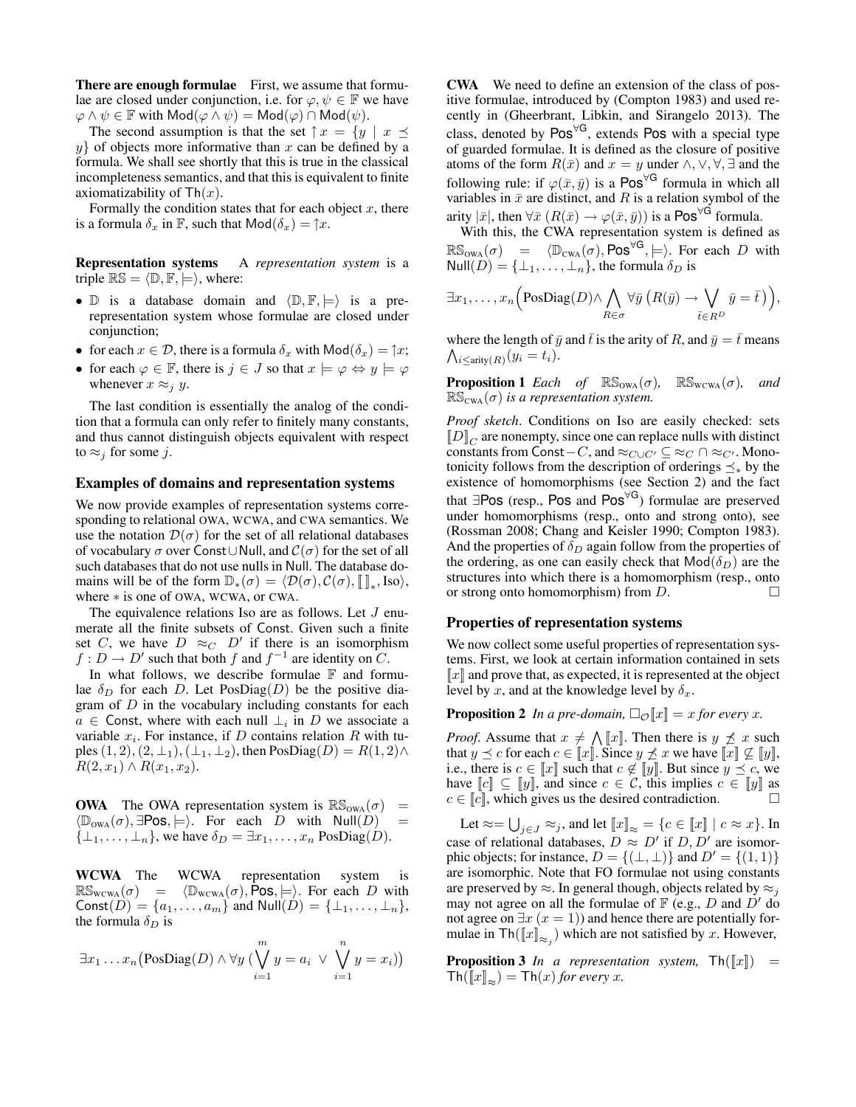There are enough formulae First, we assume that formulae are closed under conjunction, i.e. for  $\varphi, \psi \in \mathbb{F}$  we have  $\varphi \wedge \psi \in \mathbb{F}$  with  $\mathsf{Mod}(\varphi \wedge \psi) = \mathsf{Mod}(\varphi) \cap \mathsf{Mod}(\psi)$ .

The second assumption is that the set  $\uparrow x = \{y \mid x \preceq$  $y$  of objects more informative than x can be defined by a formula. We shall see shortly that this is true in the classical incompleteness semantics, and that this is equivalent to finite axiomatizability of  $\text{Th}(x)$ .

Formally the condition states that for each object  $x$ , there is a formula  $\delta_x$  in F, such that  $\text{Mod}(\delta_x) = \uparrow x$ .

Representation systems A *representation system* is a triple  $\mathbb{RS} = \langle \mathbb{D}, \mathbb{F}, \models \rangle$ , where:

- $\mathbb D$  is a database domain and  $\langle \mathbb D, \mathbb F, \models \rangle$  is a prerepresentation system whose formulae are closed under conjunction;
- for each  $x \in \mathcal{D}$ , there is a formula  $\delta_x$  with  $\mathsf{Mod}(\delta_x) = \uparrow x$ ;
- for each  $\varphi \in \mathbb{F}$ , there is  $j \in J$  so that  $x \models \varphi \Leftrightarrow y \models \varphi$ whenever  $x \approx_j y$ .

The last condition is essentially the analog of the condition that a formula can only refer to finitely many constants, and thus cannot distinguish objects equivalent with respect to  $\approx_i$  for some j.

#### Examples of domains and representation systems

We now provide examples of representation systems corresponding to relational OWA, WCWA, and CWA semantics. We use the notation  $\mathcal{D}(\sigma)$  for the set of all relational databases of vocabulary  $\sigma$  over Const∪Null, and  $\mathcal{C}(\sigma)$  for the set of all such databases that do not use nulls in Null. The database domains will be of the form  $\mathbb{D}_{*}(\sigma) = \langle \mathcal{D}(\sigma), \mathcal{C}(\sigma), [\![]_*, \text{Iso}\rangle,$ where ∗ is one of OWA, WCWA, or CWA.

The equivalence relations Iso are as follows. Let  $J$  enumerate all the finite subsets of Const. Given such a finite set C, we have  $D \approx_C D'$  if there is an isomorphism  $f: D \to D'$  such that both f and  $f^{-1}$  are identity on C.

In what follows, we describe formulae  $\mathbb F$  and formulae  $\delta_D$  for each D. Let PosDiag(D) be the positive diagram of  $D$  in the vocabulary including constants for each  $a \in$  Const, where with each null  $\perp_i$  in D we associate a variable  $x_i$ . For instance, if D contains relation R with tuples  $(1, 2), (2, \perp_1), (\perp_1, \perp_2)$ , then PosDiag $(D) = R(1, 2) \wedge$  $R(2, x_1) \wedge R(x_1, x_2).$ 

**OWA** The OWA representation system is  $\mathbb{RS}_{OWA}(\sigma)$  =  $\langle \mathbb{D}_{\text{owa}}(\sigma), \exists \text{Pos}, \models \rangle$ . For each D with Null $(D)$  =  $\{\perp_1, \ldots, \perp_n\}$ , we have  $\delta_D = \exists x_1, \ldots, x_n$  PosDiag(D).

WCWA The WCWA representation system is  $\mathbb{RS}_{\text{wcWA}}(\sigma) = \langle \mathbb{D}_{\text{wcWA}}(\sigma), \mathsf{Pos}, \models \rangle$ . For each D with Const $(D) = \{a_1, ..., a_m\}$  and  $Null(D) = \{\perp_1, ..., \perp_n\},\$ the formula  $\delta_D$  is

$$
\exists x_1 \dots x_n \big(\text{PosDiag}(D) \land \forall y \big(\bigvee_{i=1}^m y = a_i \lor \bigvee_{i=1}^n y = x_i)\big)
$$

CWA We need to define an extension of the class of positive formulae, introduced by (Compton 1983) and used recently in (Gheerbrant, Libkin, and Sirangelo 2013). The class, denoted by Pos<sup>∀G</sup>, extends Pos with a special type of guarded formulae. It is defined as the closure of positive atoms of the form  $R(\bar{x})$  and  $x = y$  under  $\wedge, \vee, \forall, \exists$  and the following rule: if  $\varphi(\bar{x}, \bar{y})$  is a Pos<sup> $\forall G$ </sup> formula in which all variables in  $\bar{x}$  are distinct, and R is a relation symbol of the arity  $|\bar{x}|$ , then  $\forall \bar{x}$   $(R(\bar{x}) \rightarrow \varphi(\bar{x}, \bar{y}))$  is a Pos<sup> $\forall G$ </sup> formula.

With this, the CWA representation system is defined as  $\mathbb{RS}_{\text{owa}}(\sigma) = \langle \mathbb{D}_{\text{CWA}}(\sigma), \text{Pos}^{\forall \text{G}}, \models \rangle$ . For each D with  $Null(D) = {\perp_1, \ldots, \perp_n}$ , the formula  $\delta_D$  is

$$
\exists x_1,\ldots,x_n \Big( \text{PosDiag}(D) \wedge \bigwedge_{R \in \sigma} \forall \bar{y} \ (R(\bar{y}) \to \bigvee_{\bar{t} \in R^D} \bar{y} = \bar{t}) \Big),
$$

 $\bigwedge_{i\leq \text{arity}(R)} (y_i = t_i).$ where the length of  $\bar{y}$  and  $\bar{t}$  is the arity of R, and  $\bar{y} = \bar{t}$  means

**Proposition 1** *Each of*  $\mathbb{RS}_{\text{OWA}}(\sigma)$ ,  $\mathbb{RS}_{\text{WCWA}}(\sigma)$ , and  $\mathbb{RS}_{\text{CWA}}(\sigma)$  *is a representation system.* 

*Proof sketch*. Conditions on Iso are easily checked: sets  $[D]_C$  are nonempty, since one can replace nulls with distinct constants from Const – C, and  $\approx_{C\cup C'}$  ⊆  $\approx_C \cap \approx_{C'}$ . Monotonicity follows from the description of orderings  $\preceq_*$  by the existence of homomorphisms (see Section 2) and the fact that  $\exists \text{Pos}$  (resp., Pos and Pos<sup> $\forall G$ </sup>) formulae are preserved under homomorphisms (resp., onto and strong onto), see (Rossman 2008; Chang and Keisler 1990; Compton 1983). And the properties of  $\delta_D$  again follow from the properties of the ordering, as one can easily check that  $\mathsf{Mod}(\delta_D)$  are the structures into which there is a homomorphism (resp., onto or strong onto homomorphism) from  $D$ .

#### Properties of representation systems

We now collect some useful properties of representation systems. First, we look at certain information contained in sets  $\llbracket x \rrbracket$  and prove that, as expected, it is represented at the object level by x, and at the knowledge level by  $\delta_x$ .

**Proposition 2** *In a pre-domain,*  $\Box_{\mathcal{O}}[x] = x$  *for every x*.

*Proof.* Assume that  $x \neq \bigwedge [x]$ . Then there is  $y \not\preceq x$  such that  $y \preceq c$  for each  $c \in [x]$ . Since  $y \npreceq x$  we have  $[x] \nsubseteq [y]$ , i.e., there is  $c \in \llbracket x \rrbracket$  such that  $c \notin \llbracket y \rrbracket$ . But since  $y \preceq c$ , we have  $\llbracket c \rrbracket \subseteq \llbracket y \rrbracket$ , and since  $c \in \mathcal{C}$ , this implies  $c \in \llbracket y \rrbracket$  as  $c \in [c]$ , which gives us the desired contradiction.

Let  $\approx = \bigcup_{j \in J} \approx_j$ , and let  $\llbracket x \rrbracket_{\approx} = \{ c \in \llbracket x \rrbracket \mid c \approx x \}.$  In case of relational databases,  $D \approx D'$  if  $D, D'$  are isomorphic objects; for instance,  $D = \{(\perp, \perp)\}\$ and  $D' = \{(1, 1)\}\$ are isomorphic. Note that FO formulae not using constants are preserved by  $\approx$ . In general though, objects related by  $\approx$ <sub>j</sub> may not agree on all the formulae of  $\mathbb F$  (e.g., D and D' do not agree on  $\exists x (x = 1)$  and hence there are potentially formulae in  $\text{Th}(\llbracket x \rrbracket_{\approx_j})$  which are not satisfied by x. However,

**Proposition 3** *In a representation system,*  $\text{Th}([x]) =$  $\text{Th}(\llbracket x \rrbracket_{\approx}) = \text{Th}(x)$  for every x.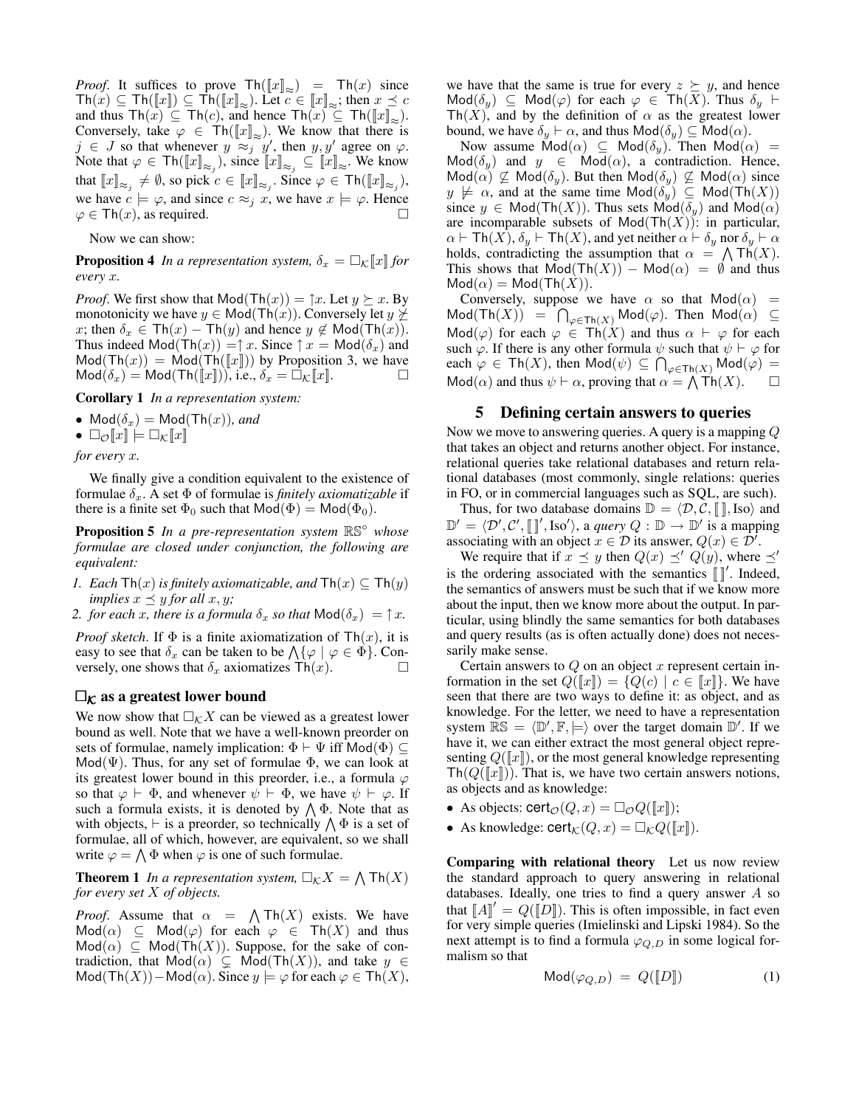*Proof.* It suffices to prove  $\text{Th}([x]_{\approx}) = \text{Th}(x)$  since  $\text{Th}(x) \subseteq \text{Th}(\llbracket x \rrbracket_{\approx}) \subseteq \text{Th}(\llbracket x \rrbracket_{\approx})$ . Let  $c \in \llbracket x \rrbracket_{\approx}$ ; then  $x \preceq c$ and thus  $\text{Th}(\tilde{x}) \subseteq \text{Th}(c)$ , and hence  $\text{Th}(\tilde{x}) \subseteq \text{Th}(\llbracket x \rrbracket_{\approx}).$ Conversely, take  $\varphi \in Th(\llbracket x \rrbracket_{\approx})$ . We know that there is  $j \in J$  so that whenever  $y \approx j$   $y'$ , then  $y, y'$  agree on  $\varphi$ . Note that  $\varphi \in \text{Th}(\llbracket x \rrbracket_{\approx_j}),$  since  $\llbracket x \rrbracket_{\approx_j} \subseteq \llbracket x \rrbracket_{\approx}$ . We know that  $\llbracket x \rrbracket_{\approx_j} \neq \emptyset$ , so pick  $c \in \llbracket x \rrbracket_{\approx_j}$ . Since  $\varphi \in \mathsf{Th}(\llbracket x \rrbracket_{\approx_j}),$ we have  $c \models \varphi$ , and since  $c \approx_j x$ , we have  $x \models \varphi$ . Hence  $\varphi \in \mathsf{Th}(x)$ , as required.

Now we can show:

**Proposition 4** *In a representation system,*  $\delta_x = \Box_K ||x||$  *for every* x*.*

*Proof.* We first show that  $Mod(Th(x)) = \hat{x}$ . Let  $y \succeq x$ . By monotonicity we have  $y \in Mod(Th(x))$ . Conversely let  $y \not\succeq$ x; then  $\delta_x \in \text{Th}(x) - \text{Th}(y)$  and hence  $y \notin \text{Mod}(\text{Th}(x))$ . Thus indeed  $\text{Mod}(\text{Th}(x)) = \uparrow x$ . Since  $\uparrow x = \text{Mod}(\delta_x)$  and  $Mod(Th(x)) = Mod(Th(\llbracket x \rrbracket))$  by Proposition 3, we have  $\mathsf{Mod}(\delta_x) = \mathsf{Mod}(\mathsf{Th}(\llbracket x \rrbracket)),$  i.e.,  $\delta_x = \Box_{\mathcal{K}}\llbracket x \rrbracket.$ 

Corollary 1 *In a representation system:*

- $Mod(\delta_x) = Mod(Th(x))$ *, and*
- $\Box_{\mathcal{O}}[x] \models \Box_{\mathcal{K}}[x]$

*for every* x*.*

We finally give a condition equivalent to the existence of formulae  $\delta_x$ . A set  $\Phi$  of formulae is *finitely axiomatizable* if there is a finite set  $\Phi_0$  such that  $Mod(\Phi) = Mod(\Phi_0)$ .

Proposition 5 *In a pre-representation system* RS◦ *whose formulae are closed under conjunction, the following are equivalent:*

- *1. Each*  $\text{Th}(x)$  *is finitely axiomatizable, and*  $\text{Th}(x) \subseteq \text{Th}(y)$ *implies*  $x \preceq y$  *for all*  $x, y$ *;*
- *2. for each* x*, there is a formula*  $\delta_x$  *so that*  $\text{Mod}(\delta_x) = \uparrow x$ *.*

*Proof sketch*. If  $\Phi$  is a finite axiomatization of  $\text{Th}(x)$ , it is easy to see that  $\delta_x$  can be taken to be  $\bigwedge \{ \varphi \mid \varphi \in \Phi \}.$  Conversely, one shows that  $\delta_x$  axiomatizes Th(x).

#### $\Box_{\mathcal{K}}$  as a greatest lower bound

We now show that  $\Box_K X$  can be viewed as a greatest lower bound as well. Note that we have a well-known preorder on sets of formulae, namely implication:  $\Phi \vdash \Psi$  iff Mod( $\Phi$ )  $\subseteq$  $Mod(\Psi)$ . Thus, for any set of formulae  $\Phi$ , we can look at its greatest lower bound in this preorder, i.e., a formula  $\varphi$ so that  $\varphi \vdash \Phi$ , and whenever  $\psi \vdash \Phi$ , we have  $\psi \vdash \varphi$ . If such a formula exists, it is denoted by  $\bigwedge \Phi$ . Note that as with objects,  $\vdash$  is a preorder, so technically  $\bigwedge \Phi$  is a set of formulae, all of which, however, are equivalent, so we shall write  $\varphi = \bigwedge \Phi$  when  $\varphi$  is one of such formulae.

**Theorem 1** In a representation system,  $\Box_K X = \bigwedge \text{Th}(X)$ *for every set* X *of objects.*

*Proof.* Assume that  $\alpha = \bigwedge \text{Th}(X)$  exists. We have  $\mathsf{Mod}(\alpha) \subseteq \mathsf{Mod}(\varphi)$  for each  $\varphi \in \mathsf{Th}(X)$  and thus  $Mod(\alpha) \subseteq Mod(Th(X))$ . Suppose, for the sake of contradiction, that  $Mod(\alpha) \subseteq Mod(Th(X))$ , and take  $y \in$  $\textsf{Mod}(\textsf{Th}(X))-\textsf{Mod}(\alpha)$ . Since  $y \models \varphi$  for each  $\varphi \in \textsf{Th}(X)$ , we have that the same is true for every  $z \succeq y$ , and hence  $\mathsf{Mod}(\delta_u) \subseteq \mathsf{Mod}(\varphi)$  for each  $\varphi \in \mathsf{Th}(X)$ . Thus  $\delta_u \vdash$ Th(X), and by the definition of  $\alpha$  as the greatest lower bound, we have  $\delta_y \vdash \alpha$ , and thus  $\mathsf{Mod}(\delta_y) \subseteq \mathsf{Mod}(\alpha)$ .

Now assume  $Mod(\alpha) \subseteq Mod(\delta_y)$ . Then  $Mod(\alpha) =$  $\text{Mod}(\delta_y)$  and  $y \in \text{Mod}(\alpha)$ , a contradiction. Hence,  $\text{Mod}(\alpha) \not\subseteq \text{Mod}(\delta_y)$ . But then  $\text{Mod}(\delta_y) \not\subseteq \text{Mod}(\alpha)$  since  $y \not\models \alpha$ , and at the same time  $\text{Mod}(\delta_y) \subseteq \text{Mod}(\text{Th}(X))$ since  $y \in Mod(Th(X))$ . Thus sets  $Mod(\delta_y)$  and  $Mod(\alpha)$ are incomparable subsets of  $Mod(Th(X))$ : in particular,  $\alpha \vdash \mathsf{Th}(X)$ ,  $\delta_y \vdash \mathsf{Th}(X)$ , and yet neither  $\alpha \vdash \delta_y$  nor  $\delta_y \vdash \alpha$ holds, contradicting the assumption that  $\alpha = \bigwedge \text{Th}(X)$ . This shows that  $Mod(Th(X)) - Mod(\alpha) = \emptyset$  and thus  $\mathsf{Mod}(\alpha) = \mathsf{Mod}(\mathsf{Th}(X)).$ 

Conversely, suppose we have  $\alpha$  so that  $Mod(\alpha)$  =  $\mathsf{Mod}(\mathsf{Th}(X)) = \bigcap_{\varphi \in \mathsf{Th}(X)} \mathsf{Mod}(\varphi).$  Then  $\mathsf{Mod}(\alpha) \subseteq$  $\mathsf{Mod}(\varphi)$  for each  $\varphi \in \mathsf{Th}(X)$  and thus  $\alpha \vdash \varphi$  for each such  $\varphi$ . If there is any other formula  $\psi$  such that  $\psi \vdash \varphi$  for each  $\varphi \in \mathsf{Th}(X)$ , then  $\mathsf{Mod}(\psi) \subseteq \bigcap_{\varphi \in \mathsf{Th}(X)} \mathsf{Mod}(\varphi) =$  $\mathsf{Mod}(\alpha)$  and thus  $\psi \vdash \alpha$ , proving that  $\alpha = \bigwedge^{\sim} \mathsf{Th}(X)$ .  $\Box$ 

#### 5 Defining certain answers to queries

Now we move to answering queries. A query is a mapping Q that takes an object and returns another object. For instance, relational queries take relational databases and return relational databases (most commonly, single relations: queries in FO, or in commercial languages such as SQL, are such).

Thus, for two database domains  $\mathbb{D} = \langle \mathcal{D}, \mathcal{C}, \llbracket \rrbracket, \text{Iso} \rangle$  and  $\mathbb{D}' = \langle \mathcal{D}', \mathcal{C}', \llbracket \rrbracket', \text{Iso}' \rangle$ , a *query*  $Q : \mathbb{D} \to \mathbb{D}'$  is a mapping associating with an object  $x \in \mathcal{D}$  its answer,  $Q(x) \in \mathcal{D}^{\prime}$ .

We require that if  $x \preceq y$  then  $Q(x) \preceq' Q(y)$ , where  $\preceq'$ is the ordering associated with the semantics  $\|$ <sup>'</sup>. Indeed, the semantics of answers must be such that if we know more about the input, then we know more about the output. In particular, using blindly the same semantics for both databases and query results (as is often actually done) does not necessarily make sense.

Certain answers to  $Q$  on an object  $x$  represent certain information in the set  $Q(\llbracket x \rrbracket) = \{ Q(c) \mid c \in \llbracket x \rrbracket \}.$  We have seen that there are two ways to define it: as object, and as knowledge. For the letter, we need to have a representation system  $\overline{\mathbb{RS}} = \langle \mathbb{D}', \mathbb{F}, \models \rangle$  over the target domain  $\mathbb{D}'$ . If we have it, we can either extract the most general object representing  $Q(\llbracket x \rrbracket)$ , or the most general knowledge representing  $\text{Th}(Q(\Vert x \Vert))$ . That is, we have two certain answers notions, as objects and as knowledge:

- As objects:  $\text{cert}_{\mathcal{O}}(Q, x) = \Box_{\mathcal{O}}Q(\llbracket x \rrbracket);$
- As knowledge:  $\text{cert}_{\mathcal{K}}(Q, x) = \Box_{\mathcal{K}}Q(\llbracket x \rrbracket).$

Comparing with relational theory Let us now review the standard approach to query answering in relational databases. Ideally, one tries to find a query answer  $A$  so that  $\llbracket A \rrbracket' = Q(\llbracket D \rrbracket)$ . This is often impossible, in fact even for very simple queries (Imielinski and Lipski 1984). So the next attempt is to find a formula  $\varphi_{Q,D}$  in some logical formalism so that

$$
Mod(\varphi_{Q,D}) = Q([\![D]\!]) \tag{1}
$$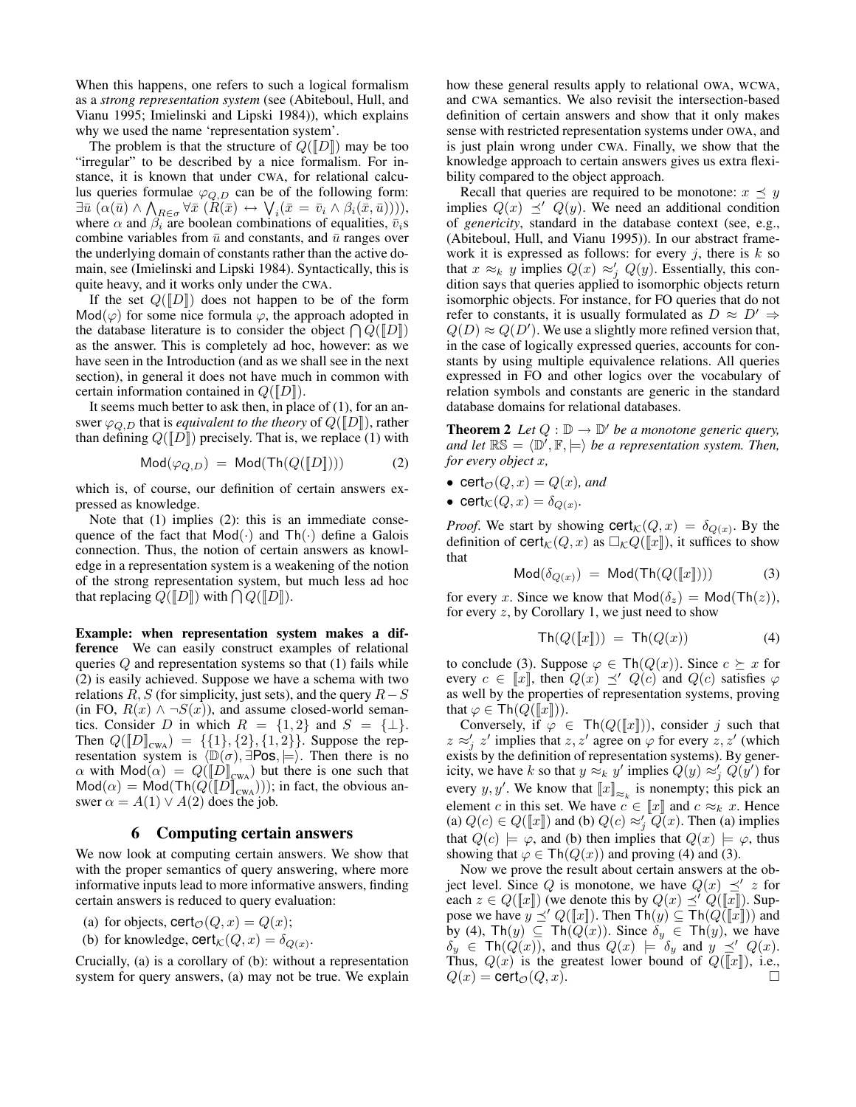When this happens, one refers to such a logical formalism as a *strong representation system* (see (Abiteboul, Hull, and Vianu 1995; Imielinski and Lipski 1984)), which explains why we used the name 'representation system'.

The problem is that the structure of  $Q([D])$  may be too "irregular" to be described by a nice formalism. For instance, it is known that under CWA, for relational calculus queries formulae  $\varphi_{Q,D}$  can be of the following form:  $\exists \bar{u} \; (\alpha(\bar{u}) \wedge \bigwedge_{R \in \sigma} \forall \bar{x} \; (\bar{R}(\bar{x}) \leftrightarrow \bigvee_i (\bar{x} = \bar{v}_i \wedge \beta_i(\bar{x}, \bar{u}))))$ where  $\alpha$  and  $\beta_i$  are boolean combinations of equalities,  $\bar{v}_i$ s combine variables from  $\bar{u}$  and constants, and  $\bar{u}$  ranges over the underlying domain of constants rather than the active domain, see (Imielinski and Lipski 1984). Syntactically, this is quite heavy, and it works only under the CWA.

If the set  $Q([D])$  does not happen to be of the form  $Mod(\varphi)$  for some nice formula  $\varphi$ , the approach adopted in the database literature is to consider the object  $\bigcap Q([D])$ as the answer. This is completely ad hoc, however: as we have seen in the Introduction (and as we shall see in the next section), in general it does not have much in common with certain information contained in  $Q(\llbracket D \rrbracket)$ .

It seems much better to ask then, in place of (1), for an answer  $\varphi_{Q,D}$  that is *equivalent to the theory* of  $Q(\llbracket D \rrbracket)$ , rather than defining  $Q(\llbracket D \rrbracket)$  precisely. That is, we replace (1) with

$$
Mod(\varphi_{Q,D}) = Mod(Th(Q([D])))
$$
 (2)

which is, of course, our definition of certain answers expressed as knowledge.

Note that (1) implies (2): this is an immediate consequence of the fact that  $Mod(·)$  and  $Th(·)$  define a Galois connection. Thus, the notion of certain answers as knowledge in a representation system is a weakening of the notion of the strong representation system, but much less ad hoc that replacing  $Q([D])$  with  $\bigcap Q([D])$ .

Example: when representation system makes a difference We can easily construct examples of relational queries  $Q$  and representation systems so that  $(1)$  fails while (2) is easily achieved. Suppose we have a schema with two relations R, S (for simplicity, just sets), and the query  $R-S$ (in FO,  $R(x) \wedge \neg S(x)$ ), and assume closed-world semantics. Consider D in which  $R = \{1, 2\}$  and  $S = \{\perp\}.$ Then  $Q([D]_{\text{cwa}}) = \{\{1\},\{2\},\{1,2\}\}\.$  Suppose the representation system is  $\langle \mathbb{D}(\sigma), \exists \text{Pos}, \models \rangle$ . Then there is no  $\alpha$  with  $\text{Mod}(\alpha) = Q([\![D]\!]_{\text{CWA}})$  but there is one such that  $\text{Mod}(\alpha) = \text{Mod}(\text{Th}(Q(\llbracket D \rrbracket_{\text{CWA}})))$ ; in fact, the obvious answer  $\alpha = A(1) \vee A(2)$  does the job.

#### 6 Computing certain answers

We now look at computing certain answers. We show that with the proper semantics of query answering, where more informative inputs lead to more informative answers, finding certain answers is reduced to query evaluation:

- (a) for objects,  $\text{cert}_{\mathcal{O}}(Q, x) = Q(x);$
- (b) for knowledge,  $\text{cert}_{\mathcal{K}}(Q, x) = \delta_{Q(x)}$ .

Crucially, (a) is a corollary of (b): without a representation system for query answers, (a) may not be true. We explain how these general results apply to relational OWA, WCWA, and CWA semantics. We also revisit the intersection-based definition of certain answers and show that it only makes sense with restricted representation systems under OWA, and is just plain wrong under CWA. Finally, we show that the knowledge approach to certain answers gives us extra flexibility compared to the object approach.

Recall that queries are required to be monotone:  $x \preceq y$ implies  $Q(x) \preceq' Q(y)$ . We need an additional condition of *genericity*, standard in the database context (see, e.g., (Abiteboul, Hull, and Vianu 1995)). In our abstract framework it is expressed as follows: for every j, there is  $k$  so that  $x \approx_k y$  implies  $Q(x) \approx'_j Q(y)$ . Essentially, this condition says that queries applied to isomorphic objects return isomorphic objects. For instance, for FO queries that do not refer to constants, it is usually formulated as  $D \approx D' \Rightarrow$  $Q(D) \approx Q(D')$ . We use a slightly more refined version that, in the case of logically expressed queries, accounts for constants by using multiple equivalence relations. All queries expressed in FO and other logics over the vocabulary of relation symbols and constants are generic in the standard database domains for relational databases.

**Theorem 2** Let  $Q : \mathbb{D} \to \mathbb{D}'$  be a monotone generic query, and let  $\mathbb{RS} = \langle \mathbb{D}', \mathbb{F}, \models \rangle$  be a representation system. Then, *for every object* x*,*

• cert<sub> $\mathcal{O}(Q, x) = Q(x)$ *, and*</sub>

• 
$$
\operatorname{cert}_{\mathcal{K}}(Q, x) = \delta_{Q(x)}
$$
.

*Proof.* We start by showing  $\text{cert}_{\mathcal{K}}(Q, x) = \delta_{Q(x)}$ . By the definition of  $\text{cert}_{\mathcal{K}}(Q, x)$  as  $\Box_{\mathcal{K}}Q(\llbracket x \rrbracket)$ , it suffices to show that

$$
Mod(\delta_{Q(x)}) = Mod(Th(Q([x]))) \qquad (3)
$$

for every x. Since we know that  $Mod(\delta_z) = Mod(Th(z)),$ for every  $z$ , by Corollary 1, we just need to show

$$
\operatorname{Th}(Q([\![x]\!])) = \operatorname{Th}(Q(x)) \tag{4}
$$

to conclude (3). Suppose  $\varphi \in \text{Th}(Q(x))$ . Since  $c \succeq x$  for every  $c \in \llbracket x \rrbracket$ , then  $Q(x) \preceq' Q(c)$  and  $Q(c)$  satisfies  $\varphi$ as well by the properties of representation systems, proving that  $\varphi \in \text{Th}(Q(\llbracket x \rrbracket))$ .

Conversely, if  $\varphi \in \text{Th}(Q(\llbracket x \rrbracket))$ , consider j such that  $z \approx'_{j} z'$  implies that  $z, z'$  agree on  $\varphi$  for every  $z, z'$  (which exists by the definition of representation systems). By genericity, we have k so that  $y \approx_k y'$  implies  $Q(y) \approx'_j Q(y')$  for every y, y'. We know that  $\llbracket x \rrbracket_{\approx_k}$  is nonempty; this pick an element c in this set. We have  $c \in \llbracket x \rrbracket$  and  $c \approx_k x$ . Hence (a)  $Q(c) \in Q(\llbracket x \rrbracket)$  and (b)  $Q(c) \approx'_{j} Q(x)$ . Then (a) implies that  $Q(c) \models \varphi$ , and (b) then implies that  $Q(x) \models \varphi$ , thus showing that  $\varphi \in \text{Th}(Q(x))$  and proving (4) and (3).

Now we prove the result about certain answers at the object level. Since Q is monotone, we have  $Q(x) \preceq' z$  for each  $z \in Q(\llbracket x \rrbracket)$  (we denote this by  $Q(x) \preceq' Q(\llbracket x \rrbracket)$ . Suppose we have  $y \preceq' Q([\![x]\!])$ . Then  $\text{Th}(y) \subseteq \text{Th}(Q([\![x]\!]))$  and by (4), Th $(y) \subseteq Th(Q(x))$ . Since  $\delta_y \in Th(y)$ , we have  $\delta_y \in \text{Th}(Q(x))$ , and thus  $Q(x) \models \delta_y$  and  $y \preceq' Q(x)$ . Thus,  $Q(x)$  is the greatest lower bound of  $Q(\llbracket x \rrbracket)$ , i.e.,  $Q(x) = \text{cert}_{\mathcal{O}}(Q, x).$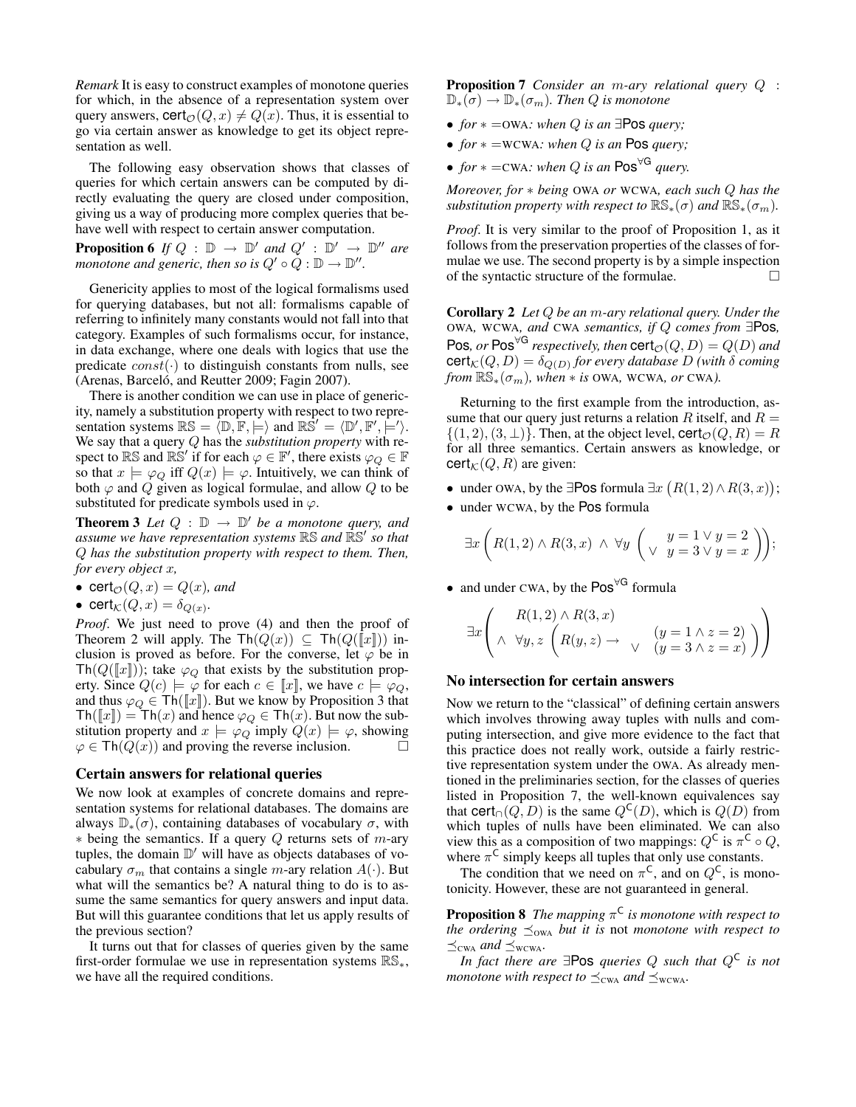*Remark* It is easy to construct examples of monotone queries for which, in the absence of a representation system over query answers,  $\text{cert}_{\mathcal{O}}(Q, x) \neq Q(x)$ . Thus, it is essential to go via certain answer as knowledge to get its object representation as well.

The following easy observation shows that classes of queries for which certain answers can be computed by directly evaluating the query are closed under composition, giving us a way of producing more complex queries that behave well with respect to certain answer computation.

**Proposition 6** If  $Q : \mathbb{D} \to \mathbb{D}'$  and  $Q' : \mathbb{D}' \to \mathbb{D}''$  are *monotone and generic, then so is*  $Q' \circ Q : \mathbb{D} \to \mathbb{D}''$ .

Genericity applies to most of the logical formalisms used for querying databases, but not all: formalisms capable of referring to infinitely many constants would not fall into that category. Examples of such formalisms occur, for instance, in data exchange, where one deals with logics that use the predicate  $const(·)$  to distinguish constants from nulls, see (Arenas, Barceló, and Reutter 2009; Fagin 2007).

There is another condition we can use in place of genericity, namely a substitution property with respect to two representation systems  $\mathbb{RS} = \langle \mathbb{D}, \mathbb{F}, \models \rangle$  and  $\mathbb{RS}' = \langle \mathbb{D}', \mathbb{F}', \models' \rangle$ . We say that a query Q has the *substitution property* with respect to RS and RS' if for each  $\varphi \in \mathbb{F}'$ , there exists  $\varphi_Q \in \mathbb{F}$ so that  $x \models \varphi_Q$  iff  $Q(x) \models \varphi$ . Intuitively, we can think of both  $\varphi$  and  $Q$  given as logical formulae, and allow  $Q$  to be substituted for predicate symbols used in  $\varphi$ .

**Theorem 3** Let  $Q : \mathbb{D} \to \mathbb{D}'$  be a monotone query, and *assume we have representation systems* RS *and* RS<sup>0</sup> *so that* Q *has the substitution property with respect to them. Then, for every object* x*,*

- cert $\phi(Q, x) = Q(x)$ *, and*
- cert $\kappa(Q, x) = \delta_{Q(x)}$ .

*Proof*. We just need to prove (4) and then the proof of Theorem 2 will apply. The Th $(Q(x)) \subseteq Th(Q([\![x]\!]))$  inclusion is proved as before. For the converse, let  $\varphi$  be in  $\text{Th}(Q(\llbracket x \rrbracket))$ ; take  $\varphi_Q$  that exists by the substitution property. Since  $Q(c) \models \varphi$  for each  $c \in \llbracket x \rrbracket$ , we have  $c \models \varphi_Q$ , and thus  $\varphi_Q \in \textsf{Th}(\llbracket x \rrbracket)$ . But we know by Proposition 3 that  $\text{Th}([x]) = \text{Th}(x)$  and hence  $\varphi_Q \in \text{Th}(x)$ . But now the substitution property and  $x \models \varphi_Q$  imply  $Q(x) \models \varphi$ , showing  $\varphi \in \text{Th}(Q(x))$  and proving the reverse inclusion.

#### Certain answers for relational queries

We now look at examples of concrete domains and representation systems for relational databases. The domains are always  $\mathbb{D}_{*}(\sigma)$ , containing databases of vocabulary  $\sigma$ , with  $*$  being the semantics. If a query Q returns sets of m-ary tuples, the domain  $\mathbb{D}'$  will have as objects databases of vocabulary  $\sigma_m$  that contains a single *m*-ary relation  $A(\cdot)$ . But what will the semantics be? A natural thing to do is to assume the same semantics for query answers and input data. But will this guarantee conditions that let us apply results of the previous section?

It turns out that for classes of queries given by the same first-order formulae we use in representation systems  $\mathbb{RS}_{*}$ , we have all the required conditions.

Proposition 7 *Consider an* m*-ary relational query* Q :  $\mathbb{D}_{*}(\sigma) \to \mathbb{D}_{*}(\sigma_m)$ *. Then Q is monotone* 

- *for* ∗ =OWA*: when* Q *is an* ∃Pos *query;*
- *for* ∗ =WCWA*: when* Q *is an* Pos *query;*
- *for*  $* = \text{CWA}$ : when Q is an Pos<sup> $\forall G$ </sup> query.

*Moreover, for* ∗ *being* OWA *or* WCWA*, each such* Q *has the substitution property with respect to*  $\mathbb{RS}_*(\sigma)$  *and*  $\mathbb{RS}_*(\sigma_m)$ *.* 

*Proof*. It is very similar to the proof of Proposition 1, as it follows from the preservation properties of the classes of formulae we use. The second property is by a simple inspection of the syntactic structure of the formulae.  $\Box$ 

Corollary 2 *Let* Q *be an* m*-ary relational query. Under the* OWA*,* WCWA*, and* CWA *semantics, if* Q *comes from* ∃Pos*,*  $\mathsf{Pos}, \textit{or }\mathsf{Pos}^{\forall G}$  respectively, then  $\mathsf{cert}_\mathcal{O}(Q, D) = Q(D)$  and  $\mathsf{cert}_\mathcal{K}(Q, D) = \delta_{Q(D)}$  for every database  $D$  (with  $\delta$  coming *from*  $\mathbb{RS}_*(\sigma_m)$ *, when*  $*$  *is* OWA, WCWA*, or* CWA*)*.

Returning to the first example from the introduction, assume that our query just returns a relation  $R$  itself, and  $R =$  $\{(1, 2), (3, \perp)\}\.$  Then, at the object level,  $\text{cert}_{\mathcal{O}}(Q, R) = R$ for all three semantics. Certain answers as knowledge, or  $\text{cert}_{\mathcal{K}}(Q, R)$  are given:

- under OWA, by the ∃Pos formula  $\exists x \ (R(1, 2) \land R(3, x));$
- under WCWA, by the Pos formula

$$
\exists x \left( R(1,2) \land R(3,x) \land \forall y \left( \begin{array}{cc} y = 1 \lor y = 2 \\ \lor \ y = 3 \lor y = x \end{array} \right) \right);
$$

• and under CWA, by the Pos<sup>∀G</sup> formula

$$
\exists x \left( \begin{array}{c} R(1,2) \wedge R(3,x) \\ \wedge \forall y, z \left( R(y,z) \rightarrow \sqrt{(y=1 \wedge z=2)} \atop (y=3 \wedge z=x) \right) \end{array} \right)
$$

#### No intersection for certain answers

Now we return to the "classical" of defining certain answers which involves throwing away tuples with nulls and computing intersection, and give more evidence to the fact that this practice does not really work, outside a fairly restrictive representation system under the OWA. As already mentioned in the preliminaries section, for the classes of queries listed in Proposition 7, the well-known equivalences say that cert<sub>∩</sub> $(Q, D)$  is the same  $Q^{\mathsf{C}}(D)$ , which is  $Q(D)$  from which tuples of nulls have been eliminated. We can also view this as a composition of two mappings:  $Q^{\mathsf{C}}$  is  $\pi^{\mathsf{C}} \circ Q$ , where  $\pi^C$  simply keeps all tuples that only use constants.

The condition that we need on  $\pi^C$ , and on  $Q^C$ , is monotonicity. However, these are not guaranteed in general.

Proposition 8 *The mapping* π C *is monotone with respect to the ordering*  $\preceq_{\text{OWA}}$  *but it is not monotone with respect to*  $\preceq_{\text{CWA}}$  *and*  $\preceq_{\text{WCWA}}$ .

*In fact there are* ∃Pos *queries* Q *such that* Q<sup>C</sup> *is not monotone with respect to*  $\leq_{\text{cwa}}$  *and*  $\leq_{\text{wcwa}}$ *.*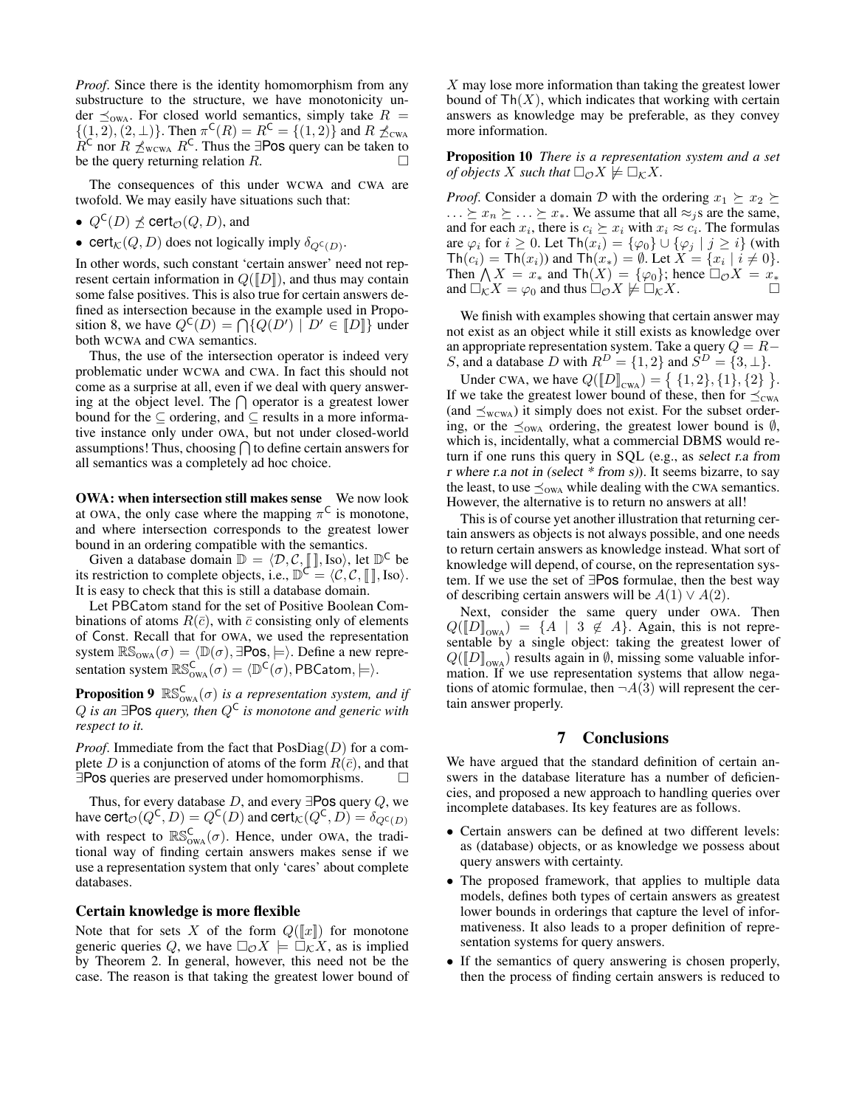*Proof*. Since there is the identity homomorphism from any substructure to the structure, we have monotonicity under  $\preceq_{\text{owa}}$ . For closed world semantics, simply take  $R =$  $\{(1, 2), (2, \perp)\}\.$  Then  $\pi^{\mathsf{C}}(R) = R^{\mathsf{C}} = \{(1, 2)\}\.$  and  $R \npreceq_{\text{CWA}}$  $R^{\mathsf{C}}$  nor  $R \nleq_{\text{wcWA}} R^{\mathsf{C}}$ . Thus the ∃Pos query can be taken to be the query returning relation R.

The consequences of this under WCWA and CWA are twofold. We may easily have situations such that:

- $Q^{\mathsf{C}}(D) \npreceq \mathsf{cert}_{\mathcal{O}}(Q, D)$ , and
- cert $_{\mathcal{K}}(Q, D)$  does not logically imply  $\delta_{Q^{\mathsf{C}}(D)}$ .

In other words, such constant 'certain answer' need not represent certain information in  $Q(\llbracket D \rrbracket)$ , and thus may contain some false positives. This is also true for certain answers defined as intersection because in the example used in Proposition 8, we have  $Q^{\mathsf{C}}(D) = \bigcap \{ Q(D') \mid D' \in [D] \}$  under both WCWA and CWA semantics.

Thus, the use of the intersection operator is indeed very problematic under WCWA and CWA. In fact this should not come as a surprise at all, even if we deal with query answering at the object level. The  $\bigcap$  operator is a greatest lower bound for the  $\subseteq$  ordering, and  $\subseteq$  results in a more informative instance only under OWA, but not under closed-world assumptions! Thus, choosing  $\bigcap$  to define certain answers for all semantics was a completely ad hoc choice.

**OWA: when intersection still makes sense** We now look at OWA, the only case where the mapping  $\pi^C$  is monotone, and where intersection corresponds to the greatest lower bound in an ordering compatible with the semantics.

Given a database domain  $\mathbb{D} = \langle \mathcal{D}, \mathcal{C}, \llbracket \cdot \rrbracket$ , Iso $\rangle$ , let  $\mathbb{D}^{\mathsf{C}}$  be its restriction to complete objects, i.e.,  $\mathbb{D}^{\mathcal{C}} = \langle \mathcal{C}, \mathcal{C}, \mathcal{L}, \mathcal{C} \rangle$ . Iso. It is easy to check that this is still a database domain.

Let PBCatom stand for the set of Positive Boolean Combinations of atoms  $R(\bar{c})$ , with  $\bar{c}$  consisting only of elements of Const. Recall that for OWA, we used the representation system  $\mathbb{RS}_{\text{owa}}(\sigma) = \langle \mathbb{D}(\sigma), \exists \text{Pos}, \models \rangle$ . Define a new representation system  $\mathbb{RS}_{\text{owa}}^{\mathsf{C}}(\sigma) = \langle \mathbb{D}^{\mathsf{C}}(\sigma), \mathsf{PBCatom}, \models \rangle$ .

**Proposition 9**  $\mathbb{RS}_{\text{owa}}^{\text{C}}(\sigma)$  *is a representation system, and if* Q *is an* ∃Pos *query, then* Q<sup>C</sup> *is monotone and generic with respect to it.*

*Proof.* Immediate from the fact that  $PosDiag(D)$  for a complete D is a conjunction of atoms of the form  $R(\bar{c})$ , and that ∃Pos queries are preserved under homomorphisms.

Thus, for every database  $D$ , and every  $\exists$ Pos query  $Q$ , we have cert ${}_{\mathcal{O}}(Q^{\mathsf{C}},D) = Q^{\mathsf{C}}(D)$  and cert ${}_{\mathcal{K}}(Q^{\mathsf{C}},D) = \delta_{Q^{\mathsf{C}}(D)}$ with respect to  $\mathbb{RS}_{\text{owa}}^{\mathsf{C}}(\sigma)$ . Hence, under OWA, the traditional way of finding certain answers makes sense if we use a representation system that only 'cares' about complete databases.

#### Certain knowledge is more flexible

Note that for sets X of the form  $Q([x])$  for monotone generic queries Q, we have  $\Box_{\mathcal{O}} X \models \Box_{\mathcal{K}} X$ , as is implied by Theorem 2. In general, however, this need not be the case. The reason is that taking the greatest lower bound of

 $X$  may lose more information than taking the greatest lower bound of  $Th(X)$ , which indicates that working with certain answers as knowledge may be preferable, as they convey more information.

Proposition 10 *There is a representation system and a set of objects* X *such that*  $\Box_{\mathcal{O}} X \neq \Box_{\mathcal{K}} X$ .

*Proof.* Consider a domain D with the ordering  $x_1 \succeq x_2 \succeq x_1$  $\ldots \geq x_n \geq \ldots \geq x_*$ . We assume that all  $\approx_j s$  are the same, and for each  $x_i$ , there is  $c_i \succeq x_i$  with  $x_i \approx c_i$ . The formulas are  $\varphi_i$  for  $i \geq 0$ . Let  $\text{Th}(x_i) = {\varphi_0} \cup {\varphi_j \mid j \geq i}$  (with  $\text{Th}(c_i) = \text{Th}(x_i)$  and  $\text{Th}(x_*) = \emptyset$ . Let  $X = \{x_i \mid i \neq 0\}.$ Then  $\bigwedge X = x^*$  and  $\text{Th}(X) = {\varphi_0}$ ; hence  $\Box_{\mathcal{O}} X = x^*$ and  $\Box_K X = \varphi_0$  and thus  $\Box_{\mathcal{O}} X \not\models \Box_K X$ .

We finish with examples showing that certain answer may not exist as an object while it still exists as knowledge over an appropriate representation system. Take a query  $Q = R -$ S, and a database D with  $R^D = \{1, 2\}$  and  $S^D = \{3, \perp\}.$ 

Under CWA, we have  $Q(\llbracket D \rrbracket_{\text{CWA}}) = \{ \{1, 2\}, \{1\}, \{2\} \}.$ If we take the greatest lower bound of these, then for  $\preceq_{\text{CWA}}$ (and  $\preceq_{\text{wcWA}}$ ) it simply does not exist. For the subset ordering, or the  $\preceq_{OWA}$  ordering, the greatest lower bound is  $\emptyset$ , which is, incidentally, what a commercial DBMS would return if one runs this query in SQL (e.g., as select r.a from r where r.a not in (select \* from s)). It seems bizarre, to say the least, to use  $\preceq_{\text{OWA}}$  while dealing with the CWA semantics. However, the alternative is to return no answers at all!

This is of course yet another illustration that returning certain answers as objects is not always possible, and one needs to return certain answers as knowledge instead. What sort of knowledge will depend, of course, on the representation system. If we use the set of ∃Pos formulae, then the best way of describing certain answers will be  $A(1) \vee A(2)$ .

Next, consider the same query under OWA. Then  $Q(\llbracket D \rrbracket_{\text{owa}}) = \{A \mid 3 \notin A\}.$  Again, this is not representable by a single object: taking the greatest lower of  $Q(\llbracket D \rrbracket_{\text{owa}})$  results again in  $\emptyset$ , missing some valuable information. If we use representation systems that allow negations of atomic formulae, then  $\neg A(3)$  will represent the certain answer properly.

# 7 Conclusions

We have argued that the standard definition of certain answers in the database literature has a number of deficiencies, and proposed a new approach to handling queries over incomplete databases. Its key features are as follows.

- Certain answers can be defined at two different levels: as (database) objects, or as knowledge we possess about query answers with certainty.
- The proposed framework, that applies to multiple data models, defines both types of certain answers as greatest lower bounds in orderings that capture the level of informativeness. It also leads to a proper definition of representation systems for query answers.
- If the semantics of query answering is chosen properly, then the process of finding certain answers is reduced to